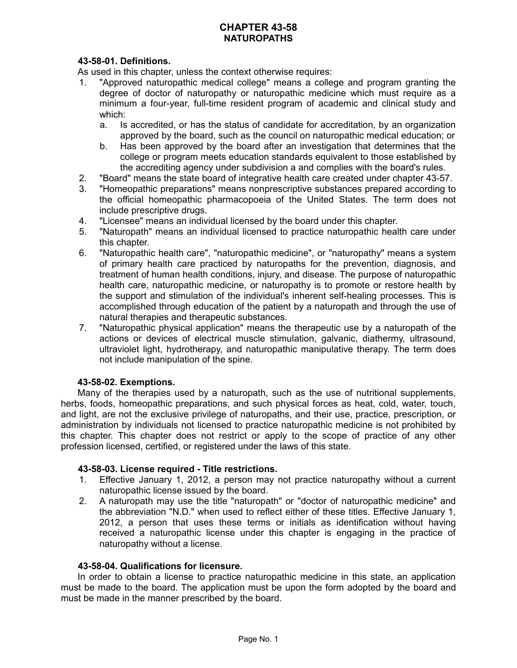# **CHAPTER 43-58 NATUROPATHS**

# **43-58-01. Definitions.**

As used in this chapter, unless the context otherwise requires:

- 1. "Approved naturopathic medical college" means a college and program granting the degree of doctor of naturopathy or naturopathic medicine which must require as a minimum a four-year, full-time resident program of academic and clinical study and which:
	- a. Is accredited, or has the status of candidate for accreditation, by an organization approved by the board, such as the council on naturopathic medical education; or
	- b. Has been approved by the board after an investigation that determines that the college or program meets education standards equivalent to those established by the accrediting agency under subdivision a and complies with the board's rules.
- 2. "Board" means the state board of integrative health care created under chapter 43-57.
- 3. "Homeopathic preparations" means nonprescriptive substances prepared according to the official homeopathic pharmacopoeia of the United States. The term does not include prescriptive drugs.
- 4. "Licensee" means an individual licensed by the board under this chapter.
- 5. "Naturopath" means an individual licensed to practice naturopathic health care under this chapter.
- 6. "Naturopathic health care", "naturopathic medicine", or "naturopathy" means a system of primary health care practiced by naturopaths for the prevention, diagnosis, and treatment of human health conditions, injury, and disease. The purpose of naturopathic health care, naturopathic medicine, or naturopathy is to promote or restore health by the support and stimulation of the individual's inherent self-healing processes. This is accomplished through education of the patient by a naturopath and through the use of natural therapies and therapeutic substances.
- 7. "Naturopathic physical application" means the therapeutic use by a naturopath of the actions or devices of electrical muscle stimulation, galvanic, diathermy, ultrasound, ultraviolet light, hydrotherapy, and naturopathic manipulative therapy. The term does not include manipulation of the spine.

## **43-58-02. Exemptions.**

Many of the therapies used by a naturopath, such as the use of nutritional supplements, herbs, foods, homeopathic preparations, and such physical forces as heat, cold, water, touch, and light, are not the exclusive privilege of naturopaths, and their use, practice, prescription, or administration by individuals not licensed to practice naturopathic medicine is not prohibited by this chapter. This chapter does not restrict or apply to the scope of practice of any other profession licensed, certified, or registered under the laws of this state.

#### **43-58-03. License required - Title restrictions.**

- 1. Effective January 1, 2012, a person may not practice naturopathy without a current naturopathic license issued by the board.
- 2. A naturopath may use the title "naturopath" or "doctor of naturopathic medicine" and the abbreviation "N.D." when used to reflect either of these titles. Effective January 1, 2012, a person that uses these terms or initials as identification without having received a naturopathic license under this chapter is engaging in the practice of naturopathy without a license.

#### **43-58-04. Qualifications for licensure.**

In order to obtain a license to practice naturopathic medicine in this state, an application must be made to the board. The application must be upon the form adopted by the board and must be made in the manner prescribed by the board.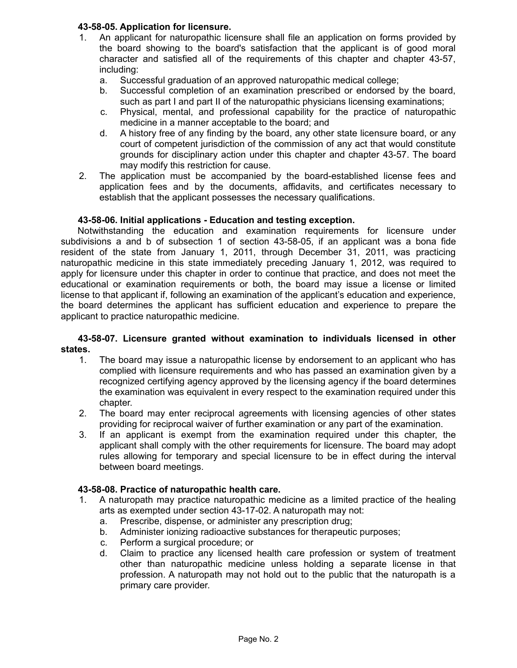## **43-58-05. Application for licensure.**

- 1. An applicant for naturopathic licensure shall file an application on forms provided by the board showing to the board's satisfaction that the applicant is of good moral character and satisfied all of the requirements of this chapter and chapter 43-57, including:
	- a. Successful graduation of an approved naturopathic medical college;
	- b. Successful completion of an examination prescribed or endorsed by the board, such as part I and part II of the naturopathic physicians licensing examinations;
	- c. Physical, mental, and professional capability for the practice of naturopathic medicine in a manner acceptable to the board; and
	- d. A history free of any finding by the board, any other state licensure board, or any court of competent jurisdiction of the commission of any act that would constitute grounds for disciplinary action under this chapter and chapter 43-57. The board may modify this restriction for cause.
- 2. The application must be accompanied by the board-established license fees and application fees and by the documents, affidavits, and certificates necessary to establish that the applicant possesses the necessary qualifications.

### **43-58-06. Initial applications - Education and testing exception.**

Notwithstanding the education and examination requirements for licensure under subdivisions a and b of subsection 1 of section 43-58-05, if an applicant was a bona fide resident of the state from January 1, 2011, through December 31, 2011, was practicing naturopathic medicine in this state immediately preceding January 1, 2012, was required to apply for licensure under this chapter in order to continue that practice, and does not meet the educational or examination requirements or both, the board may issue a license or limited license to that applicant if, following an examination of the applicant's education and experience, the board determines the applicant has sufficient education and experience to prepare the applicant to practice naturopathic medicine.

### **43-58-07. Licensure granted without examination to individuals licensed in other states.**

- 1. The board may issue a naturopathic license by endorsement to an applicant who has complied with licensure requirements and who has passed an examination given by a recognized certifying agency approved by the licensing agency if the board determines the examination was equivalent in every respect to the examination required under this chapter.
- 2. The board may enter reciprocal agreements with licensing agencies of other states providing for reciprocal waiver of further examination or any part of the examination.
- 3. If an applicant is exempt from the examination required under this chapter, the applicant shall comply with the other requirements for licensure. The board may adopt rules allowing for temporary and special licensure to be in effect during the interval between board meetings.

## **43-58-08. Practice of naturopathic health care.**

- 1. A naturopath may practice naturopathic medicine as a limited practice of the healing arts as exempted under section 43-17-02. A naturopath may not:
	- a. Prescribe, dispense, or administer any prescription drug;
	- b. Administer ionizing radioactive substances for therapeutic purposes;
	- c. Perform a surgical procedure; or
	- d. Claim to practice any licensed health care profession or system of treatment other than naturopathic medicine unless holding a separate license in that profession. A naturopath may not hold out to the public that the naturopath is a primary care provider.